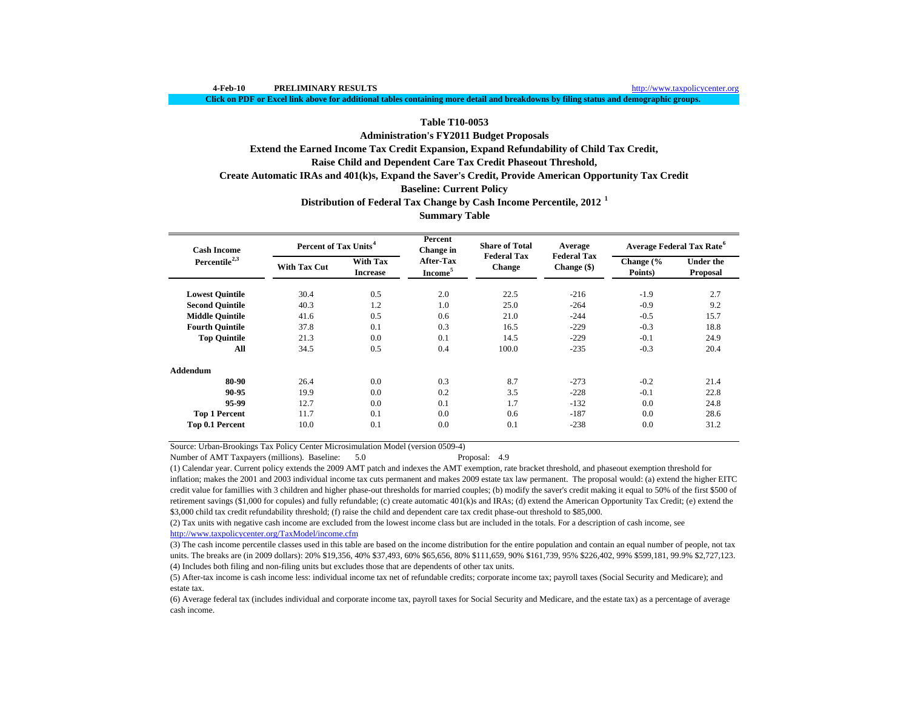**Click on PDF or Excel link above for additional tables containing more detail and breakdowns by filing status and demographic groups.**

# **Table T10-0053**

**Administration's FY2011 Budget Proposals**

**Extend the Earned Income Tax Credit Expansion, Expand Refundability of Child Tax Credit,**

# **Raise Child and Dependent Care Tax Credit Phaseout Threshold,**

**Create Automatic IRAs and 401(k)s, Expand the Saver's Credit, Provide American Opportunity Tax Credit**

# **Baseline: Current Policy**

**Distribution of Federal Tax Change by Cash Income Percentile, 2012 <sup>1</sup>**

# **Summary Table**

| <b>Cash Income</b>        | Percent of Tax Units <sup>4</sup> |                                    | Percent<br>Change in                    | <b>Share of Total</b>               | Average                             | <b>Average Federal Tax Rate<sup>6</sup></b> |                              |  |
|---------------------------|-----------------------------------|------------------------------------|-----------------------------------------|-------------------------------------|-------------------------------------|---------------------------------------------|------------------------------|--|
| Percentile <sup>2,3</sup> | <b>With Tax Cut</b>               | <b>With Tax</b><br><b>Increase</b> | <b>After-Tax</b><br>Income <sup>5</sup> | <b>Federal Tax</b><br><b>Change</b> | <b>Federal Tax</b><br>Change $(\$)$ | Change $\frac{6}{6}$<br>Points)             | <b>Under the</b><br>Proposal |  |
| <b>Lowest Quintile</b>    | 30.4                              | 0.5                                | 2.0                                     | 22.5                                | $-216$                              | $-1.9$                                      | 2.7                          |  |
| <b>Second Quintile</b>    | 40.3                              | 1.2                                | 1.0                                     | 25.0                                | $-264$                              | $-0.9$                                      | 9.2                          |  |
| <b>Middle Ouintile</b>    | 41.6                              | 0.5                                | 0.6                                     | 21.0                                | $-244$                              | $-0.5$                                      | 15.7                         |  |
| <b>Fourth Quintile</b>    | 37.8                              | 0.1                                | 0.3                                     | 16.5                                | $-229$                              | $-0.3$                                      | 18.8                         |  |
| <b>Top Quintile</b>       | 21.3                              | 0.0                                | 0.1                                     | 14.5                                | $-229$                              | $-0.1$                                      | 24.9                         |  |
| All                       | 34.5                              | 0.5                                | 0.4                                     | 100.0                               | $-235$                              | $-0.3$                                      | 20.4                         |  |
| Addendum                  |                                   |                                    |                                         |                                     |                                     |                                             |                              |  |
| 80-90                     | 26.4                              | 0.0                                | 0.3                                     | 8.7                                 | $-273$                              | $-0.2$                                      | 21.4                         |  |
| 90-95                     | 19.9                              | 0.0                                | 0.2                                     | 3.5                                 | $-228$                              | $-0.1$                                      | 22.8                         |  |
| 95-99                     | 12.7                              | 0.0                                | 0.1                                     | 1.7                                 | $-132$                              | 0.0                                         | 24.8                         |  |
| <b>Top 1 Percent</b>      | 11.7                              | 0.1                                | 0.0                                     | 0.6                                 | $-187$                              | 0.0                                         | 28.6                         |  |
| Top 0.1 Percent           | 10.0                              | 0.1                                | 0.0                                     | 0.1                                 | $-238$                              | 0.0                                         | 31.2                         |  |

Source: Urban-Brookings Tax Policy Center Microsimulation Model (version 0509-4)

Number of AMT Taxpayers (millions). Baseline: 5.0 Proposal: 4.9

(1) Calendar year. Current policy extends the 2009 AMT patch and indexes the AMT exemption, rate bracket threshold, and phaseout exemption threshold for inflation; makes the 2001 and 2003 individual income tax cuts permanent and makes 2009 estate tax law permanent. The proposal would: (a) extend the higher EITC credit value for famillies with 3 children and higher phase-out thresholds for married couples; (b) modify the saver's credit making it equal to 50% of the first \$500 of retirement savings (\$1,000 for copules) and fully refundable; (c) create automatic  $401(k)$ s and IRAs; (d) extend the American Opportunity Tax Credit; (e) extend the \$3,000 child tax credit refundability threshold; (f) raise the child and dependent care tax credit phase-out threshold to \$85,000.

(2) Tax units with negative cash income are excluded from the lowest income class but are included in the totals. For a description of cash income, see http://www.taxpolicycenter.org/TaxModel/income.cfm

(4) Includes both filing and non-filing units but excludes those that are dependents of other tax units. (3) The cash income percentile classes used in this table are based on the income distribution for the entire population and contain an equal number of people, not tax units. The breaks are (in 2009 dollars): 20% \$19,356, 40% \$37,493, 60% \$65,656, 80% \$111,659, 90% \$161,739, 95% \$226,402, 99% \$599,181, 99.9% \$2,727,123.

(5) After-tax income is cash income less: individual income tax net of refundable credits; corporate income tax; payroll taxes (Social Security and Medicare); and estate tax.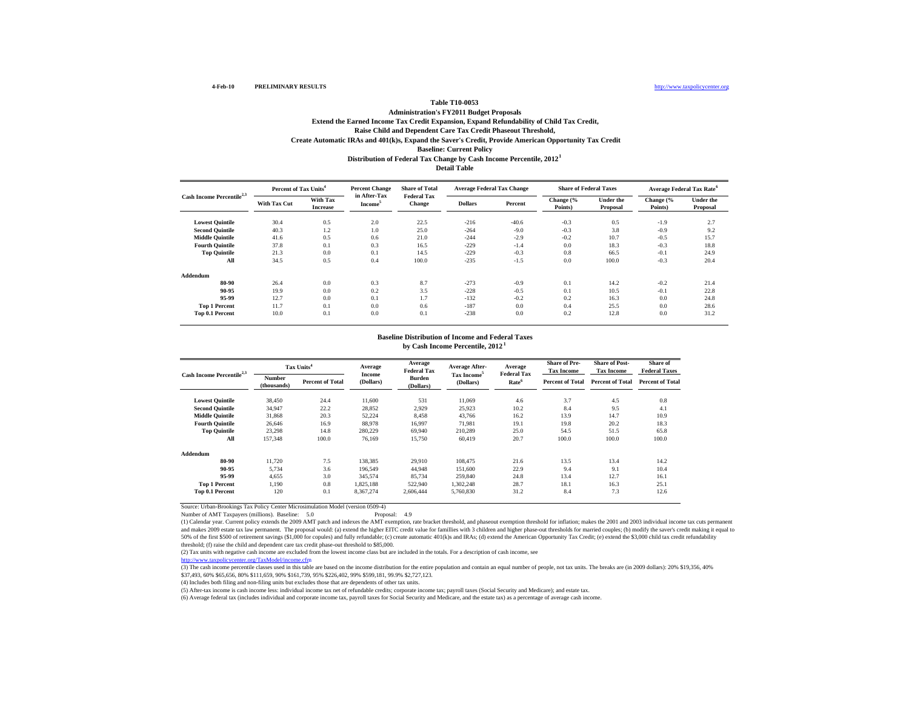### http://www.taxpolicycenter.org

#### **Table T10-0053 Administration's FY2011 Budget Proposals Extend the Earned Income Tax Credit Expansion, Expand Refundability of Child Tax Credit, Distribution of Federal Tax Change by Cash Income Percentile, 2012 1 Detail TableRaise Child and Dependent Care Tax Credit Phaseout Threshold, Create Automatic IRAs and 401(k)s, Expand the Saver's Credit, Provide American Opportunity Tax Credit Baseline: Current Policy**

| Cash Income Percentile <sup>2,3</sup> |              | Percent of Tax Units <sup>4</sup>  |                                     | <b>Share of Total</b>               | <b>Average Federal Tax Change</b> |         | <b>Share of Federal Taxes</b> |                              |                      | Average Federal Tax Rate <sup>6</sup> |
|---------------------------------------|--------------|------------------------------------|-------------------------------------|-------------------------------------|-----------------------------------|---------|-------------------------------|------------------------------|----------------------|---------------------------------------|
|                                       | With Tax Cut | <b>With Tax</b><br><b>Increase</b> | in After-Tax<br>Income <sup>5</sup> | <b>Federal Tax</b><br><b>Change</b> | <b>Dollars</b>                    | Percent | Change (%<br>Points)          | <b>Under the</b><br>Proposal | Change (%<br>Points) | <b>Under the</b><br>Proposal          |
| <b>Lowest Quintile</b>                | 30.4         | 0.5                                | 2.0                                 | 22.5                                | $-216$                            | $-40.6$ | $-0.3$                        | 0.5                          | $-1.9$               | 2.7                                   |
| <b>Second Quintile</b>                | 40.3         | 1.2                                | 1.0                                 | 25.0                                | $-264$                            | $-9.0$  | $-0.3$                        | 3.8                          | $-0.9$               | 9.2                                   |
| <b>Middle Quintile</b>                | 41.6         | 0.5                                | 0.6                                 | 21.0                                | $-244$                            | $-2.9$  | $-0.2$                        | 10.7                         | $-0.5$               | 15.7                                  |
| <b>Fourth Quintile</b>                | 37.8         | 0.1                                | 0.3                                 | 16.5                                | $-229$                            | $-1.4$  | 0.0                           | 18.3                         | $-0.3$               | 18.8                                  |
| <b>Top Quintile</b>                   | 21.3         | 0.0                                | 0.1                                 | 14.5                                | $-229$                            | $-0.3$  | 0.8                           | 66.5                         | $-0.1$               | 24.9                                  |
| All                                   | 34.5         | 0.5                                | 0.4                                 | 100.0                               | $-235$                            | $-1.5$  | 0.0                           | 100.0                        | $-0.3$               | 20.4                                  |
| Addendum                              |              |                                    |                                     |                                     |                                   |         |                               |                              |                      |                                       |
| 80-90                                 | 26.4         | 0.0                                | 0.3                                 | 8.7                                 | $-273$                            | $-0.9$  | 0.1                           | 14.2                         | $-0.2$               | 21.4                                  |
| 90-95                                 | 19.9         | 0.0                                | 0.2                                 | 3.5                                 | $-228$                            | $-0.5$  | 0.1                           | 10.5                         | $-0.1$               | 22.8                                  |
| 95-99                                 | 12.7         | 0.0                                | 0.1                                 | 1.7                                 | $-132$                            | $-0.2$  | 0.2                           | 16.3                         | 0.0                  | 24.8                                  |
| <b>Top 1 Percent</b>                  | 11.7         | 0.1                                | 0.0                                 | 0.6                                 | $-187$                            | 0.0     | 0.4                           | 25.5                         | 0.0                  | 28.6                                  |
| Top 0.1 Percent                       | 10.0         | 0.1                                | 0.0                                 | 0.1                                 | $-238$                            | 0.0     | 0.2                           | 12.8                         | 0.0                  | 31.2                                  |

#### **Baseline Distribution of Income and Federal Taxesby Cash Income Percentile, 2012 1**

|                                       |                              | Tax Units <sup>4</sup>  | Average             | Average<br><b>Federal Tax</b> | Average After-<br>Tax Income <sup>5</sup> | Average<br><b>Federal Tax</b> | <b>Share of Pre-</b><br><b>Tax Income</b> | <b>Share of Post-</b><br><b>Tax Income</b> | Share of<br><b>Federal Taxes</b> |
|---------------------------------------|------------------------------|-------------------------|---------------------|-------------------------------|-------------------------------------------|-------------------------------|-------------------------------------------|--------------------------------------------|----------------------------------|
| Cash Income Percentile <sup>2,3</sup> | <b>Number</b><br>(thousands) | <b>Percent of Total</b> | Income<br>(Dollars) | <b>Burden</b><br>(Dollars)    | (Dollars)                                 | Rate <sup>6</sup>             | <b>Percent of Total</b>                   | <b>Percent of Total</b>                    | <b>Percent of Total</b>          |
| <b>Lowest Quintile</b>                | 38.450                       | 24.4                    | 11.600              | 531                           | 11,069                                    | 4.6                           | 3.7                                       | 4.5                                        | 0.8                              |
| <b>Second Ouintile</b>                | 34.947                       | 22.2                    | 28.852              | 2.929                         | 25,923                                    | 10.2                          | 8.4                                       | 9.5                                        | 4.1                              |
| <b>Middle Quintile</b>                | 31,868                       | 20.3                    | 52,224              | 8,458                         | 43,766                                    | 16.2                          | 13.9                                      | 14.7                                       | 10.9                             |
| <b>Fourth Ouintile</b>                | 26.646                       | 16.9                    | 88,978              | 16.997                        | 71.981                                    | 19.1                          | 19.8                                      | 20.2                                       | 18.3                             |
| <b>Top Quintile</b>                   | 23,298                       | 14.8                    | 280,229             | 69,940                        | 210,289                                   | 25.0                          | 54.5                                      | 51.5                                       | 65.8                             |
| All                                   | 157,348                      | 100.0                   | 76.169              | 15,750                        | 60,419                                    | 20.7                          | 100.0                                     | 100.0                                      | 100.0                            |
| Addendum                              |                              |                         |                     |                               |                                           |                               |                                           |                                            |                                  |
| 80-90                                 | 11.720                       | 7.5                     | 138.385             | 29,910                        | 108,475                                   | 21.6                          | 13.5                                      | 13.4                                       | 14.2                             |
| 90-95                                 | 5.734                        | 3.6                     | 196.549             | 44,948                        | 151,600                                   | 22.9                          | 9.4                                       | 9.1                                        | 10.4                             |
| 95-99                                 | 4.655                        | 3.0                     | 345.574             | 85.734                        | 259,840                                   | 24.8                          | 13.4                                      | 12.7                                       | 16.1                             |
| <b>Top 1 Percent</b>                  | 1.190                        | 0.8                     | 1.825.188           | 522,940                       | 1,302,248                                 | 28.7                          | 18.1                                      | 16.3                                       | 25.1                             |
| Top 0.1 Percent                       | 120                          | 0.1                     | 8,367,274           | 2.606.444                     | 5,760,830                                 | 31.2                          | 8.4                                       | 7.3                                        | 12.6                             |

Source: Urban-Brookings Tax Policy Center Microsimulation Model (version 0509-4) Number of AMT Taxpayers (millions). Baseline: 5.0

(1) Calendar year. Current policy extends the 2009 AMT patch and indexes the AMT exemption, rate bracket threshold, and phaseout exemption threshold for inflation; makes the 2001 and 2003 individual income tax cuts permanent and makes 2009 estate tax law permanent. The proposal would: (a) extend the higher EITC credit value for famillies with 3 children and higher phase-out thresholds for married couples; (b) modify the saver's credit making i 50% of the first \$500 of retirement savings (\$1,000 for copules) and fully refundable; (c) create automatic 401(k)s and IRAs; (d) extend the American Opportunity Tax Credit; (e) extend the \$3,000 child tax credit refundabi threshold; (f) raise the child and dependent care tax credit phase-out threshold to \$85,000.

(2) Tax units with negative cash income are excluded from the lowest income class but are included in the totals. For a description of cash income, see

http://www.taxpolicycenter.org/TaxModel/income.cfm

(3) The cash income percentile classes used in this table are based on the income distribution for the entire population and contain an equal number of people, not tax units. The breaks are (in 2009 dollars): 20% \$19,356,

(4) Includes both filing and non-filing units but excludes those that are dependents of other tax units.

(5) After-tax income is cash income less: individual income tax net of refundable credits; corporate income tax; payroll taxes (Social Security and Medicare); and estate tax.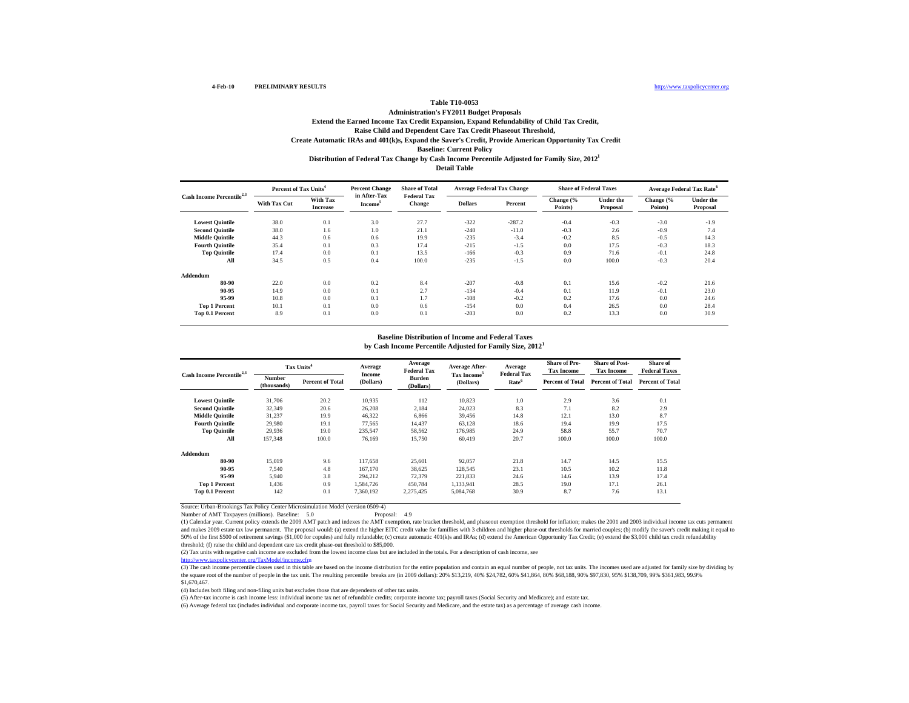## **Table T10-0053 Administration's FY2011 Budget Proposals Extend the Earned Income Tax Credit Expansion, Expand Refundability of Child Tax Credit, Distribution of Federal Tax Change by Cash Income Percentile Adjusted for Family Size, 2012 1 Raise Child and Dependent Care Tax Credit Phaseout Threshold, Create Automatic IRAs and 401(k)s, Expand the Saver's Credit, Provide American Opportunity Tax Credit Baseline: Current Policy**

**Detail Table**

|                                       | Percent of Tax Units <sup>4</sup> |                             | <b>Percent Change</b>               | <b>Share of Total</b>               | <b>Average Federal Tax Change</b> |          | <b>Share of Federal Taxes</b> |                              | Average Federal Tax Rate <sup>6</sup> |                              |
|---------------------------------------|-----------------------------------|-----------------------------|-------------------------------------|-------------------------------------|-----------------------------------|----------|-------------------------------|------------------------------|---------------------------------------|------------------------------|
| Cash Income Percentile <sup>2,3</sup> | With Tax Cut                      | With Tax<br><b>Increase</b> | in After-Tax<br>Income <sup>3</sup> | <b>Federal Tax</b><br><b>Change</b> | <b>Dollars</b>                    | Percent  | Change (%<br>Points)          | <b>Under the</b><br>Proposal | Change (%<br>Points)                  | <b>Under the</b><br>Proposal |
| <b>Lowest Quintile</b>                | 38.0                              | 0.1                         | 3.0                                 | 27.7                                | $-322$                            | $-287.2$ | $-0.4$                        | $-0.3$                       | $-3.0$                                | $-1.9$                       |
| <b>Second Ouintile</b>                | 38.0                              | 1.6                         | 1.0                                 | 21.1                                | $-240$                            | $-11.0$  | $-0.3$                        | 2.6                          | $-0.9$                                | 7.4                          |
| <b>Middle Quintile</b>                | 44.3                              | 0.6                         | 0.6                                 | 19.9                                | $-235$                            | $-3.4$   | $-0.2$                        | 8.5                          | $-0.5$                                | 14.3                         |
| <b>Fourth Quintile</b>                | 35.4                              | 0.1                         | 0.3                                 | 17.4                                | $-215$                            | $-1.5$   | 0.0                           | 17.5                         | $-0.3$                                | 18.3                         |
| <b>Top Quintile</b>                   | 17.4                              | 0.0                         | 0.1                                 | 13.5                                | $-166$                            | $-0.3$   | 0.9                           | 71.6                         | $-0.1$                                | 24.8                         |
| All                                   | 34.5                              | 0.5                         | 0.4                                 | 100.0                               | $-235$                            | $-1.5$   | 0.0                           | 100.0                        | $-0.3$                                | 20.4                         |
| Addendum                              |                                   |                             |                                     |                                     |                                   |          |                               |                              |                                       |                              |
| 80-90                                 | 22.0                              | 0.0                         | 0.2                                 | 8.4                                 | $-207$                            | $-0.8$   | 0.1                           | 15.6                         | $-0.2$                                | 21.6                         |
| 90-95                                 | 14.9                              | 0.0                         | 0.1                                 | 2.7                                 | $-134$                            | $-0.4$   | 0.1                           | 11.9                         | $-0.1$                                | 23.0                         |
| 95-99                                 | 10.8                              | 0.0                         | 0.1                                 | 1.7                                 | $-108$                            | $-0.2$   | 0.2                           | 17.6                         | 0.0                                   | 24.6                         |
| <b>Top 1 Percent</b>                  | 10.1                              | 0.1                         | 0.0                                 | 0.6                                 | $-154$                            | 0.0      | 0.4                           | 26.5                         | 0.0                                   | 28.4                         |
| Top 0.1 Percent                       | 8.9                               | 0.1                         | 0.0                                 | 0.1                                 | $-203$                            | 0.0      | 0.2                           | 13.3                         | 0.0                                   | 30.9                         |

#### **by Cash Income Percentile Adjusted for Family Size, 2012 1 Baseline Distribution of Income and Federal Taxes**

| Cash Income Percentile <sup>2,3</sup> |                       | Tax Units <sup>4</sup>  | Average<br>Income | Average<br><b>Federal Tax</b> | <b>Average After-</b>                | Average<br><b>Federal Tax</b> | <b>Share of Pre-</b><br><b>Tax Income</b> | <b>Share of Post-</b><br><b>Tax Income</b> | Share of<br><b>Federal Taxes</b> |
|---------------------------------------|-----------------------|-------------------------|-------------------|-------------------------------|--------------------------------------|-------------------------------|-------------------------------------------|--------------------------------------------|----------------------------------|
|                                       | Number<br>(thousands) | <b>Percent of Total</b> | (Dollars)         | <b>Burden</b><br>(Dollars)    | Tax Income <sup>5</sup><br>(Dollars) | Rate <sup>6</sup>             | <b>Percent of Total</b>                   | <b>Percent of Total</b>                    | <b>Percent of Total</b>          |
| <b>Lowest Quintile</b>                | 31,706                | 20.2                    | 10,935            | 112                           | 10.823                               | 1.0                           | 2.9                                       | 3.6                                        | 0.1                              |
| <b>Second Quintile</b>                | 32,349                | 20.6                    | 26,208            | 2,184                         | 24,023                               | 8.3                           | 7.1                                       | 8.2                                        | 2.9                              |
| <b>Middle Quintile</b>                | 31.237                | 19.9                    | 46,322            | 6,866                         | 39.456                               | 14.8                          | 12.1                                      | 13.0                                       | 8.7                              |
| <b>Fourth Ouintile</b>                | 29.980                | 19.1                    | 77.565            | 14.437                        | 63.128                               | 18.6                          | 19.4                                      | 19.9                                       | 17.5                             |
| <b>Top Quintile</b>                   | 29.936                | 19.0                    | 235.547           | 58,562                        | 176,985                              | 24.9                          | 58.8                                      | 55.7                                       | 70.7                             |
| All                                   | 157,348               | 100.0                   | 76.169            | 15,750                        | 60.419                               | 20.7                          | 100.0                                     | 100.0                                      | 100.0                            |
| Addendum                              |                       |                         |                   |                               |                                      |                               |                                           |                                            |                                  |
| 80-90                                 | 15.019                | 9.6                     | 117.658           | 25,601                        | 92,057                               | 21.8                          | 14.7                                      | 14.5                                       | 15.5                             |
| 90-95                                 | 7.540                 | 4.8                     | 167,170           | 38.625                        | 128.545                              | 23.1                          | 10.5                                      | 10.2                                       | 11.8                             |
| 95-99                                 | 5.940                 | 3.8                     | 294.212           | 72,379                        | 221.833                              | 24.6                          | 14.6                                      | 13.9                                       | 17.4                             |
| <b>Top 1 Percent</b>                  | 1.436                 | 0.9                     | 1.584.726         | 450.784                       | 1.133.941                            | 28.5                          | 19.0                                      | 17.1                                       | 26.1                             |
| Top 0.1 Percent                       | 142                   | 0.1                     | 7.360.192         | 2,275,425                     | 5.084.768                            | 30.9                          | 8.7                                       | 7.6                                        | 13.1                             |

Source: Urban-Brookings Tax Policy Center Microsimulation Model (version 0509-4)

Number of AMT Taxpayers (millions). Baseline: 5.0 Proposal: 4.9

(1) Calendar year. Current policy extends the 2009 AMT patch and indexes the AMT exemption, rate bracket threshold, and phaseout exemption threshold for inflation; makes the 2001 and 2003 individual income tax cuts permanent and makes 2009 estate tax law permanent. The proposal would: (a) extend the higher EITC credit value for famillies with 3 children and higher phase-out thresholds for married couples; (b) modify the saver's credit making i 50% of the first \$500 of retirement savings (\$1,000 for copules) and fully refundable; (c) create automatic 401(k)s and IRAs; (d) extend the American Opportunity Tax Credit; (e) extend the \$3,000 child tax credit refundabi threshold; (f) raise the child and dependent care tax credit phase-out threshold to \$85,000.

(2) Tax units with negative cash income are excluded from the lowest income class but are included in the totals. For a description of cash income, see

http://www.taxpolicycenter.org/TaxModel/income.cfm

(3) The cash income percentile classes used in this table are based on the income distribution for the entire population and contain an equal number of people, not tax units. The incomes used are adjusted for family size b \$1,670,467.

(4) Includes both filing and non-filing units but excludes those that are dependents of other tax units.

(5) After-tax income is cash income less: individual income tax net of refundable credits; corporate income tax; payroll taxes (Social Security and Medicare); and estate tax.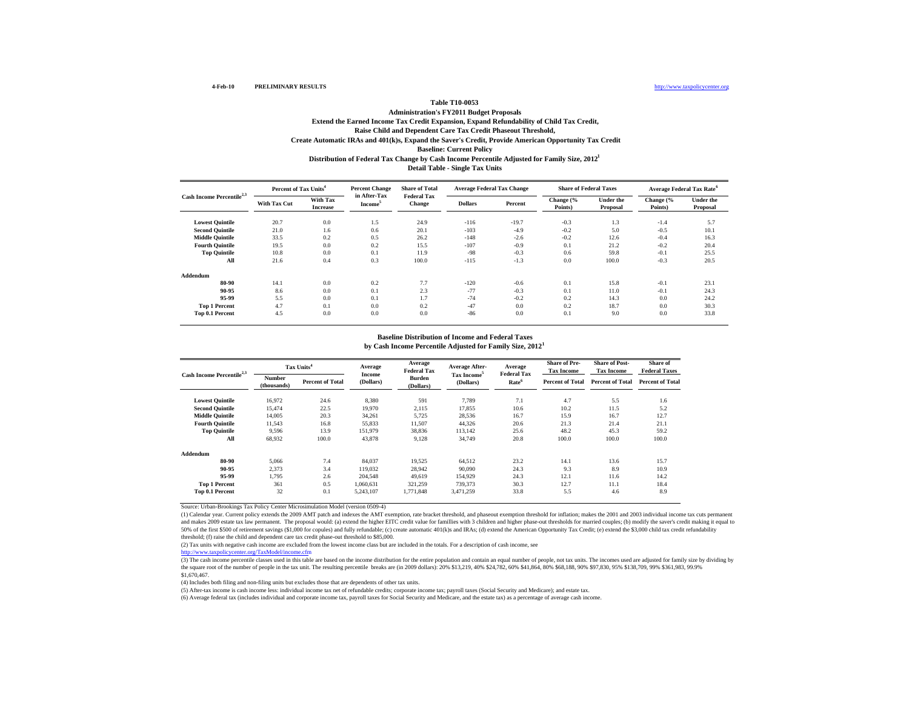### **Table T10-0053 Administration's FY2011 Budget Proposals Extend the Earned Income Tax Credit Expansion, Expand Refundability of Child Tax Credit, Distribution of Federal Tax Change by Cash Income Percentile Adjusted for Family Size, 2012 1 Detail Table - Single Tax Units Raise Child and Dependent Care Tax Credit Phaseout Threshold, Create Automatic IRAs and 401(k)s, Expand the Saver's Credit, Provide American Opportunity Tax Credit Baseline: Current Policy**

|                                       | Percent of Tax Units <sup>4</sup> |                             | <b>Percent Change</b>               | <b>Share of Total</b>        | <b>Average Federal Tax Change</b> |         |                      | <b>Share of Federal Taxes</b> |                      | <b>Average Federal Tax Rate<sup>6</sup></b> |
|---------------------------------------|-----------------------------------|-----------------------------|-------------------------------------|------------------------------|-----------------------------------|---------|----------------------|-------------------------------|----------------------|---------------------------------------------|
| Cash Income Percentile <sup>2,3</sup> | With Tax Cut                      | With Tax<br><b>Increase</b> | in After-Tax<br>Income <sup>5</sup> | <b>Federal Tax</b><br>Change | <b>Dollars</b>                    | Percent | Change (%<br>Points) | <b>Under the</b><br>Proposal  | Change (%<br>Points) | <b>Under the</b><br>Proposal                |
| <b>Lowest Quintile</b>                | 20.7                              | 0.0                         | 1.5                                 | 24.9                         | $-116$                            | $-19.7$ | $-0.3$               | 1.3                           | $-1.4$               | 5.7                                         |
| <b>Second Quintile</b>                | 21.0                              | 1.6                         | 0.6                                 | 20.1                         | $-103$                            | $-4.9$  | $-0.2$               | 5.0                           | $-0.5$               | 10.1                                        |
| <b>Middle Quintile</b>                | 33.5                              | 0.2                         | 0.5                                 | 26.2                         | $-148$                            | $-2.6$  | $-0.2$               | 12.6                          | $-0.4$               | 16.3                                        |
| <b>Fourth Ouintile</b>                | 19.5                              | 0.0                         | 0.2                                 | 15.5                         | $-107$                            | $-0.9$  | 0.1                  | 21.2                          | $-0.2$               | 20.4                                        |
| <b>Top Quintile</b>                   | 10.8                              | 0.0                         | 0.1                                 | 11.9                         | $-98$                             | $-0.3$  | 0.6                  | 59.8                          | $-0.1$               | 25.5                                        |
| All                                   | 21.6                              | 0.4                         | 0.3                                 | 100.0                        | $-115$                            | $-1.3$  | 0.0                  | 100.0                         | $-0.3$               | 20.5                                        |
| Addendum                              |                                   |                             |                                     |                              |                                   |         |                      |                               |                      |                                             |
| 80-90                                 | 14.1                              | 0.0                         | 0.2                                 | 7.7                          | $-120$                            | $-0.6$  | 0.1                  | 15.8                          | $-0.1$               | 23.1                                        |
| 90-95                                 | 8.6                               | 0.0                         | 0.1                                 | 2.3                          | $-77$                             | $-0.3$  | 0.1                  | 11.0                          | $-0.1$               | 24.3                                        |
| 95-99                                 | 5.5                               | 0.0                         | 0.1                                 | 1.7                          | $-74$                             | $-0.2$  | 0.2                  | 14.3                          | 0.0                  | 24.2                                        |
| <b>Top 1 Percent</b>                  | 4.7                               | 0.1                         | 0.0                                 | 0.2                          | $-47$                             | 0.0     | 0.2                  | 18.7                          | 0.0                  | 30.3                                        |
| Top 0.1 Percent                       | 4.5                               | 0.0                         | 0.0                                 | 0.0                          | $-86$                             | 0.0     | 0.1                  | 9.0                           | 0.0                  | 33.8                                        |

#### **by Cash Income Percentile Adjusted for Family Size, 2012 1 Baseline Distribution of Income and Federal Taxes**

| <b>Cash Income Percentile</b> |                       | Tax Units <sup>4</sup>  | Average<br>Income | Average<br><b>Federal Tax</b> | <b>Average After-</b>   | Average<br><b>Federal Tax</b> | <b>Share of Pre-</b><br><b>Tax Income</b> | <b>Share of Post-</b><br><b>Tax Income</b> | Share of<br><b>Federal Taxes</b> |  |
|-------------------------------|-----------------------|-------------------------|-------------------|-------------------------------|-------------------------|-------------------------------|-------------------------------------------|--------------------------------------------|----------------------------------|--|
|                               | Number<br>(thousands) | <b>Percent of Total</b> | (Dollars)         | <b>Burden</b><br>(Dollars)    | Tax Income<br>(Dollars) | Rate <sup>o</sup>             | <b>Percent of Total</b>                   | <b>Percent of Total</b>                    | <b>Percent of Total</b>          |  |
| <b>Lowest Quintile</b>        | 16.972                | 24.6                    | 8,380             | 591                           | 7,789                   | 7.1                           | 4.7                                       | 5.5                                        | 1.6                              |  |
| <b>Second Quintile</b>        | 15.474                | 22.5                    | 19.970            | 2,115                         | 17,855                  | 10.6                          | 10.2                                      | 11.5                                       | 5.2                              |  |
| <b>Middle Quintile</b>        | 14,005                | 20.3                    | 34.261            | 5.725                         | 28,536                  | 16.7                          | 15.9                                      | 16.7                                       | 12.7                             |  |
| <b>Fourth Ouintile</b>        | 11.543                | 16.8                    | 55.833            | 11,507                        | 44,326                  | 20.6                          | 21.3                                      | 21.4                                       | 21.1                             |  |
| <b>Top Quintile</b>           | 9,596                 | 13.9                    | 151,979           | 38,836                        | 113,142                 | 25.6                          | 48.2                                      | 45.3                                       | 59.2                             |  |
| All                           | 68.932                | 100.0                   | 43,878            | 9,128                         | 34,749                  | 20.8                          | 100.0                                     | 100.0                                      | 100.0                            |  |
| Addendum                      |                       |                         |                   |                               |                         |                               |                                           |                                            |                                  |  |
| 80-90                         | 5.066                 | 7.4                     | 84.037            | 19.525                        | 64.512                  | 23.2                          | 14.1                                      | 13.6                                       | 15.7                             |  |
| 90-95                         | 2,373                 | 3.4                     | 119,032           | 28,942                        | 90,090                  | 24.3                          | 9.3                                       | 8.9                                        | 10.9                             |  |
| 95-99                         | 1,795                 | 2.6                     | 204,548           | 49,619                        | 154,929                 | 24.3                          | 12.1                                      | 11.6                                       | 14.2                             |  |
| <b>Top 1 Percent</b>          | 361                   | 0.5                     | 1,060,631         | 321,259                       | 739,373                 | 30.3                          | 12.7                                      | 11.1                                       | 18.4                             |  |
| Top 0.1 Percent               | 32                    | 0.1                     | 5,243,107         | 1.771.848                     | 3,471,259               | 33.8                          | 5.5                                       | 4.6                                        | 8.9                              |  |

Source: Urban-Brookings Tax Policy Center Microsimulation Model (version 0509-4)

(1) Calendar year. Current policy extends the 2009 AMT patch and indexes the AMT exemption, rate bracket threshold, and phaseout exemption threshold for inflation; makes the 2001 and 2003 individual income tax cuts permanent and makes 2009 estate tax law permanent. The proposal would: (a) extend the higher EITC credit value for famillies with 3 children and higher phase-out thresholds for married couples; (b) modify the saver's credit making i 50% of the first \$500 of retirement savings (\$1,000 for copules) and fully refundable; (c) create automatic 401(k)s and IRAs; (d) extend the American Opportunity Tax Credit; (e) extend the \$3,000 child tax credit refundabi threshold; (f) raise the child and dependent care tax credit phase-out threshold to \$85,000.

(2) Tax units with negative cash income are excluded from the lowest income class but are included in the totals. For a description of cash income, see

ing.<br>http://www.taxpolicy.com/org/TaxModel/incom

(3) The cash income percentile classes used in this table are based on the income distribution for the entire population and contain an equal number of people, not tax units. The incomes used are adjusted for family size b the square root of the number of people in the tax unit. The resulting percentile breaks are (in 2009 dollars): 20% \$13,219, 40% \$24,782, 60% \$41,864, 80% \$68,188, 90% \$97,830, 95% \$138,709, 99% \$361,983, 99.9% \$138,709, 9 \$1,670,467.

(4) Includes both filing and non-filing units but excludes those that are dependents of other tax units.

(5) After-tax income is cash income less: individual income tax net of refundable credits; corporate income tax; payroll taxes (Social Security and Medicare); and estate tax.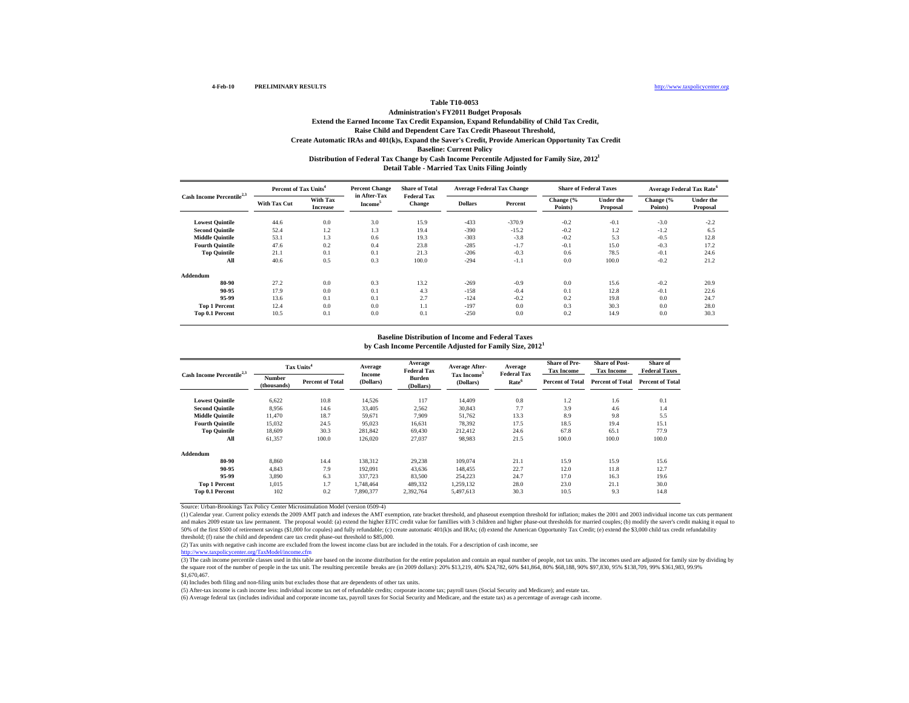### **Table T10-0053 Administration's FY2011 Budget Proposals Extend the Earned Income Tax Credit Expansion, Expand Refundability of Child Tax Credit, Distribution of Federal Tax Change by Cash Income Percentile Adjusted for Family Size, 2012 1 Detail Table - Married Tax Units Filing Jointly Raise Child and Dependent Care Tax Credit Phaseout Threshold, Create Automatic IRAs and 401(k)s, Expand the Saver's Credit, Provide American Opportunity Tax Credit Baseline: Current Policy**

| Cash Income Percentile <sup>2,3</sup> | Percent of Tax Units <sup>4</sup> |                             | <b>Percent Change</b>               | <b>Share of Total</b>        |                | <b>Average Federal Tax Change</b> | <b>Share of Federal Taxes</b> |                              |                      | Average Federal Tax Rate <sup>6</sup> |
|---------------------------------------|-----------------------------------|-----------------------------|-------------------------------------|------------------------------|----------------|-----------------------------------|-------------------------------|------------------------------|----------------------|---------------------------------------|
|                                       | <b>With Tax Cut</b>               | With Tax<br><b>Increase</b> | in After-Tax<br>Income <sup>5</sup> | <b>Federal Tax</b><br>Change | <b>Dollars</b> | Percent                           | Change (%<br>Points)          | <b>Under the</b><br>Proposal | Change (%<br>Points) | <b>Under the</b><br>Proposal          |
| <b>Lowest Quintile</b>                | 44.6                              | 0.0                         | 3.0                                 | 15.9                         | $-433$         | $-370.9$                          | $-0.2$                        | $-0.1$                       | $-3.0$               | $-2.2$                                |
| <b>Second Quintile</b>                | 52.4                              | 1.2                         | 1.3                                 | 19.4                         | $-390$         | $-15.2$                           | $-0.2$                        | 1.2                          | $-1.2$               | 6.5                                   |
| <b>Middle Quintile</b>                | 53.1                              | 1.3                         | 0.6                                 | 19.3                         | $-303$         | $-3.8$                            | $-0.2$                        | 5.3                          | $-0.5$               | 12.8                                  |
| <b>Fourth Quintile</b>                | 47.6                              | 0.2                         | 0.4                                 | 23.8                         | $-285$         | $-1.7$                            | $-0.1$                        | 15.0                         | $-0.3$               | 17.2                                  |
| <b>Top Quintile</b>                   | 21.1                              | 0.1                         | 0.1                                 | 21.3                         | $-206$         | $-0.3$                            | 0.6                           | 78.5                         | $-0.1$               | 24.6                                  |
| All                                   | 40.6                              | 0.5                         | 0.3                                 | 100.0                        | $-294$         | $-1.1$                            | 0.0                           | 100.0                        | $-0.2$               | 21.2                                  |
| Addendum                              |                                   |                             |                                     |                              |                |                                   |                               |                              |                      |                                       |
| 80-90                                 | 27.2                              | 0.0                         | 0.3                                 | 13.2                         | $-269$         | $-0.9$                            | 0.0                           | 15.6                         | $-0.2$               | 20.9                                  |
| 90-95                                 | 17.9                              | 0.0                         | 0.1                                 | 4.3                          | $-158$         | $-0.4$                            | 0.1                           | 12.8                         | $-0.1$               | 22.6                                  |
| 95-99                                 | 13.6                              | 0.1                         | 0.1                                 | 2.7                          | $-124$         | $-0.2$                            | 0.2                           | 19.8                         | 0.0                  | 24.7                                  |
| <b>Top 1 Percent</b>                  | 12.4                              | 0.0                         | 0.0                                 | 1.1                          | $-197$         | 0.0                               | 0.3                           | 30.3                         | 0.0                  | 28.0                                  |
| Top 0.1 Percent                       | 10.5                              | 0.1                         | 0.0                                 | 0.1                          | $-250$         | 0.0                               | 0.2                           | 14.9                         | 0.0                  | 30.3                                  |

#### **by Cash Income Percentile Adjusted for Family Size, 2012 1 Baseline Distribution of Income and Federal Taxes**

| <b>Cash Income Percentile</b> |                              | Tax Units <sup>4</sup>  | Average<br><b>Income</b> | Average<br><b>Federal Tax</b> | Average After-                       | Average<br><b>Federal Tax</b> | <b>Share of Pre-</b><br><b>Tax Income</b> | <b>Share of Post-</b><br><b>Tax Income</b> | Share of<br><b>Federal Taxes</b> |
|-------------------------------|------------------------------|-------------------------|--------------------------|-------------------------------|--------------------------------------|-------------------------------|-------------------------------------------|--------------------------------------------|----------------------------------|
|                               | <b>Number</b><br>(thousands) | <b>Percent of Total</b> | (Dollars)                | <b>Burden</b><br>(Dollars)    | Tax Income <sup>5</sup><br>(Dollars) | Rate <sup>6</sup>             | <b>Percent of Total</b>                   | <b>Percent of Total</b>                    | <b>Percent of Total</b>          |
| <b>Lowest Quintile</b>        | 6.622                        | 10.8                    | 14,526                   | 117                           | 14,409                               | 0.8                           | 1.2                                       | 1.6                                        | 0.1                              |
| <b>Second Quintile</b>        | 8.956                        | 14.6                    | 33,405                   | 2,562                         | 30,843                               | 7.7                           | 3.9                                       | 4.6                                        | 1.4                              |
| <b>Middle Quintile</b>        | 11.470                       | 18.7                    | 59.671                   | 7.909                         | 51,762                               | 13.3                          | 8.9                                       | 9.8                                        | 5.5                              |
| <b>Fourth Ouintile</b>        | 15.032                       | 24.5                    | 95.023                   | 16.631                        | 78,392                               | 17.5                          | 18.5                                      | 19.4                                       | 15.1                             |
| <b>Top Quintile</b>           | 18,609                       | 30.3                    | 281,842                  | 69,430                        | 212,412                              | 24.6                          | 67.8                                      | 65.1                                       | 77.9                             |
| All                           | 61.357                       | 100.0                   | 126,020                  | 27,037                        | 98,983                               | 21.5                          | 100.0                                     | 100.0                                      | 100.0                            |
| Addendum                      |                              |                         |                          |                               |                                      |                               |                                           |                                            |                                  |
| 80-90                         | 8.860                        | 14.4                    | 138.312                  | 29.238                        | 109,074                              | 21.1                          | 15.9                                      | 15.9                                       | 15.6                             |
| 90-95                         | 4,843                        | 7.9                     | 192,091                  | 43,636                        | 148,455                              | 22.7                          | 12.0                                      | 11.8                                       | 12.7                             |
| 95-99                         | 3,890                        | 6.3                     | 337,723                  | 83,500                        | 254,223                              | 24.7                          | 17.0                                      | 16.3                                       | 19.6                             |
| <b>Top 1 Percent</b>          | 1.015                        | 1.7                     | 1.748.464                | 489,332                       | 1,259,132                            | 28.0                          | 23.0                                      | 21.1                                       | 30.0                             |
| Top 0.1 Percent               | 102                          | 0.2                     | 7,890,377                | 2,392,764                     | 5.497.613                            | 30.3                          | 10.5                                      | 9.3                                        | 14.8                             |

Source: Urban-Brookings Tax Policy Center Microsimulation Model (version 0509-4)

(1) Calendar year. Current policy extends the 2009 AMT patch and indexes the AMT exemption, rate bracket threshold, and phaseout exemption threshold for inflation; makes the 2001 and 2003 individual income tax cuts permanent and makes 2009 estate tax law permanent. The proposal would: (a) extend the higher EITC credit value for famillies with 3 children and higher phase-out thresholds for married couples; (b) modify the saver's credit making i 50% of the first \$500 of retirement savings (\$1,000 for copules) and fully refundable; (c) create automatic 401(k)s and IRAs; (d) extend the American Opportunity Tax Credit; (e) extend the \$3,000 child tax credit refundabi threshold; (f) raise the child and dependent care tax credit phase-out threshold to \$85,000.

(2) Tax units with negative cash income are excluded from the lowest income class but are included in the totals. For a description of cash income, see

 $\frac{1}{\sqrt{2\pi}}$ 

(3) The cash income percentile classes used in this table are based on the income distribution for the entire population and contain an equal number of people, not tax units. The incomes used are adjusted for family size b the square root of the number of people in the tax unit. The resulting percentile breaks are (in 2009 dollars): 20% \$13,219, 40% \$24,782, 60% \$41,864, 80% \$68,188, 90% \$97,830, 95% \$138,709, 99% \$361,983, 99.9% \$138,709, 9 \$1,670,467.

(4) Includes both filing and non-filing units but excludes those that are dependents of other tax units.

(5) After-tax income is cash income less: individual income tax net of refundable credits; corporate income tax; payroll taxes (Social Security and Medicare); and estate tax.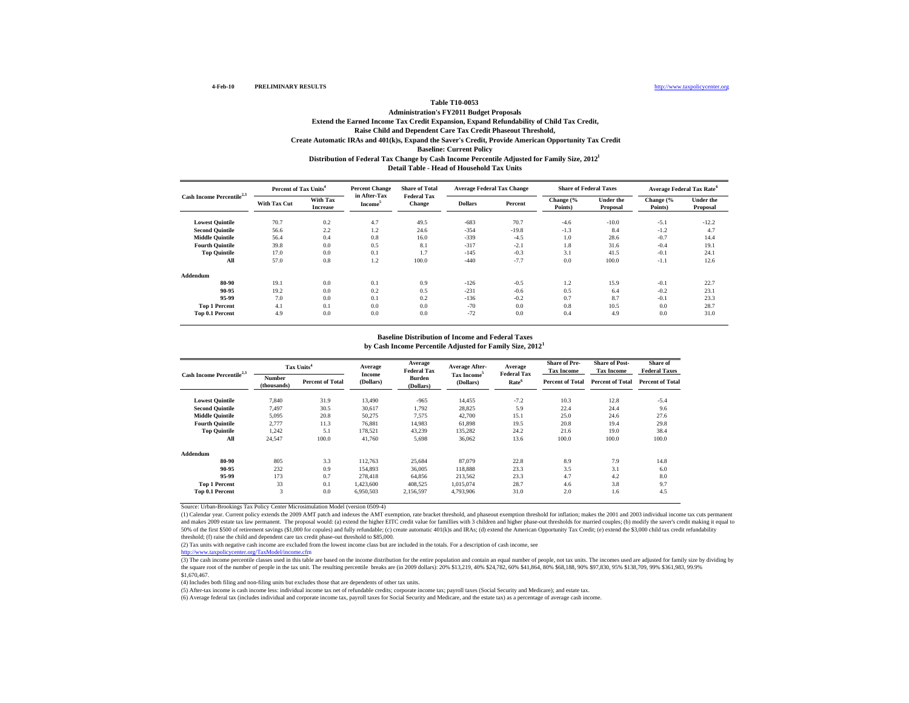#### **Table T10-0053 Administration's FY2011 Budget Proposals Extend the Earned Income Tax Credit Expansion, Expand Refundability of Child Tax Credit, Distribution of Federal Tax Change by Cash Income Percentile Adjusted for Family Size, 2012 1 Detail Table - Head of Household Tax UnitsRaise Child and Dependent Care Tax Credit Phaseout Threshold, Create Automatic IRAs and 401(k)s, Expand the Saver's Credit, Provide American Opportunity Tax Credit Baseline: Current Policy**

| Cash Income Percentile <sup>2,3</sup> | Percent of Tax Units <sup>4</sup> |                             | <b>Percent Change</b>         | <b>Share of Total</b>        | <b>Average Federal Tax Change</b> |         | <b>Share of Federal Taxes</b> |                              | <b>Average Federal Tax Rate<sup>6</sup></b> |                              |
|---------------------------------------|-----------------------------------|-----------------------------|-------------------------------|------------------------------|-----------------------------------|---------|-------------------------------|------------------------------|---------------------------------------------|------------------------------|
|                                       | With Tax Cut                      | With Tax<br><b>Increase</b> | in After-Tax<br><b>Income</b> | <b>Federal Tax</b><br>Change | <b>Dollars</b>                    | Percent | Change (%<br>Points)          | <b>Under the</b><br>Proposal | Change (%<br>Points)                        | <b>Under the</b><br>Proposal |
| <b>Lowest Quintile</b>                | 70.7                              | 0.2                         | 4.7                           | 49.5                         | $-683$                            | 70.7    | $-4.6$                        | $-10.0$                      | $-5.1$                                      | $-12.2$                      |
| <b>Second Quintile</b>                | 56.6                              | 2.2                         | 1.2                           | 24.6                         | $-354$                            | $-19.8$ | $-1.3$                        | 8.4                          | $-1.2$                                      | 4.7                          |
| <b>Middle Quintile</b>                | 56.4                              | 0.4                         | 0.8                           | 16.0                         | $-339$                            | $-4.5$  | 1.0                           | 28.6                         | $-0.7$                                      | 14.4                         |
| <b>Fourth Quintile</b>                | 39.8                              | 0.0                         | 0.5                           | 8.1                          | $-317$                            | $-2.1$  | 1.8                           | 31.6                         | $-0.4$                                      | 19.1                         |
| <b>Top Quintile</b>                   | 17.0                              | 0.0                         | 0.1                           | 1.7                          | $-145$                            | $-0.3$  | 3.1                           | 41.5                         | $-0.1$                                      | 24.1                         |
| All                                   | 57.0                              | 0.8                         | 1.2                           | 100.0                        | $-440$                            | $-7.7$  | 0.0                           | 100.0                        | $-1.1$                                      | 12.6                         |
| Addendum                              |                                   |                             |                               |                              |                                   |         |                               |                              |                                             |                              |
| 80-90                                 | 19.1                              | 0.0                         | 0.1                           | 0.9                          | $-126$                            | $-0.5$  | 1.2                           | 15.9                         | $-0.1$                                      | 22.7                         |
| 90-95                                 | 19.2                              | 0.0                         | 0.2                           | 0.5                          | $-231$                            | $-0.6$  | 0.5                           | 6.4                          | $-0.2$                                      | 23.1                         |
| 95-99                                 | 7.0                               | 0.0                         | 0.1                           | 0.2                          | $-136$                            | $-0.2$  | 0.7                           | 8.7                          | $-0.1$                                      | 23.3                         |
| <b>Top 1 Percent</b>                  | 4.1                               | 0.1                         | 0.0                           | 0.0                          | $-70$                             | 0.0     | 0.8                           | 10.5                         | 0.0                                         | 28.7                         |
| Top 0.1 Percent                       | 4.9                               | 0.0                         | 0.0                           | 0.0                          | $-72$                             | 0.0     | 0.4                           | 4.9                          | 0.0                                         | 31.0                         |

#### **by Cash Income Percentile Adjusted for Family Size, 2012 1 Baseline Distribution of Income and Federal Taxes**

| <b>Cash Income Percentile</b> |                       | Tax Units <sup>4</sup>  | Average<br>Income | Average<br><b>Federal Tax</b> | <b>Average After-</b>   | Average<br><b>Federal Tax</b> | <b>Share of Pre-</b><br><b>Tax Income</b> | <b>Share of Post-</b><br><b>Tax Income</b> | Share of<br><b>Federal Taxes</b> |  |
|-------------------------------|-----------------------|-------------------------|-------------------|-------------------------------|-------------------------|-------------------------------|-------------------------------------------|--------------------------------------------|----------------------------------|--|
|                               | Number<br>(thousands) | <b>Percent of Total</b> | (Dollars)         | <b>Burden</b><br>(Dollars)    | Tax Income<br>(Dollars) | Rate <sup>o</sup>             | <b>Percent of Total</b>                   | <b>Percent of Total</b>                    | <b>Percent of Total</b>          |  |
| <b>Lowest Quintile</b>        | 7.840                 | 31.9                    | 13,490            | $-965$                        | 14,455                  | $-7.2$                        | 10.3                                      | 12.8                                       | $-5.4$                           |  |
| <b>Second Quintile</b>        | 7.497                 | 30.5                    | 30.617            | 1.792                         | 28,825                  | 5.9                           | 22.4                                      | 24.4                                       | 9.6                              |  |
| <b>Middle Quintile</b>        | 5.095                 | 20.8                    | 50.275            | 7.575                         | 42,700                  | 15.1                          | 25.0                                      | 24.6                                       | 27.6                             |  |
| <b>Fourth Ouintile</b>        | 2.777                 | 11.3                    | 76.881            | 14.983                        | 61,898                  | 19.5                          | 20.8                                      | 19.4                                       | 29.8                             |  |
| <b>Top Quintile</b>           | 1.242                 | 5.1                     | 178,521           | 43,239                        | 135,282                 | 24.2                          | 21.6                                      | 19.0                                       | 38.4                             |  |
| All                           | 24.547                | 100.0                   | 41.760            | 5,698                         | 36,062                  | 13.6                          | 100.0                                     | 100.0                                      | 100.0                            |  |
| Addendum                      |                       |                         |                   |                               |                         |                               |                                           |                                            |                                  |  |
| 80-90                         | 805                   | 3.3                     | 112.763           | 25.684                        | 87,079                  | 22.8                          | 8.9                                       | 7.9                                        | 14.8                             |  |
| 90-95                         | 232                   | 0.9                     | 154,893           | 36,005                        | 118,888                 | 23.3                          | 3.5                                       | 3.1                                        | 6.0                              |  |
| 95-99                         | 173                   | 0.7                     | 278,418           | 64,856                        | 213,562                 | 23.3                          | 4.7                                       | 4.2                                        | 8.0                              |  |
| <b>Top 1 Percent</b>          | 33                    | 0.1                     | 1,423,600         | 408,525                       | 1.015.074               | 28.7                          | 4.6                                       | 3.8                                        | 9.7                              |  |
| Top 0.1 Percent               | 3                     | 0.0                     | 6,950,503         | 2,156,597                     | 4,793,906               | 31.0                          | 2.0                                       | 1.6                                        | 4.5                              |  |

Source: Urban-Brookings Tax Policy Center Microsimulation Model (version 0509-4)

(1) Calendar year. Current policy extends the 2009 AMT patch and indexes the AMT exemption, rate bracket threshold, and phaseout exemption threshold for inflation; makes the 2001 and 2003 individual income tax cuts permanent and makes 2009 estate tax law permanent. The proposal would: (a) extend the higher EITC credit value for famillies with 3 children and higher phase-out thresholds for married couples; (b) modify the saver's credit making i 50% of the first \$500 of retirement savings (\$1,000 for copules) and fully refundable; (c) create automatic 401(k)s and IRAs; (d) extend the American Opportunity Tax Credit; (e) extend the \$3,000 child tax credit refundabi threshold; (f) raise the child and dependent care tax credit phase-out threshold to \$85,000.

(2) Tax units with negative cash income are excluded from the lowest income class but are included in the totals. For a description of cash income, see<br>http://www.taxpolioucenter.org/TaxMedelfgroema.efm

hter.org/TaxModel/income.cf

(3) The cash income percentile classes used in this table are based on the income distribution for the entire population and contain an equal number of people, not tax units. The incomes used are adjusted for family size b the square root of the number of people in the tax unit. The resulting percentile breaks are (in 2009 dollars): 20% \$13,219, 40% \$24,782, 60% \$41,864, 80% \$68,188, 90% \$97,830, 95% \$138,709, 99% \$361,983, 99.9% \$138,709, 9 \$1,670,467.

(4) Includes both filing and non-filing units but excludes those that are dependents of other tax units.

(5) After-tax income is cash income less: individual income tax net of refundable credits; corporate income tax; payroll taxes (Social Security and Medicare); and estate tax.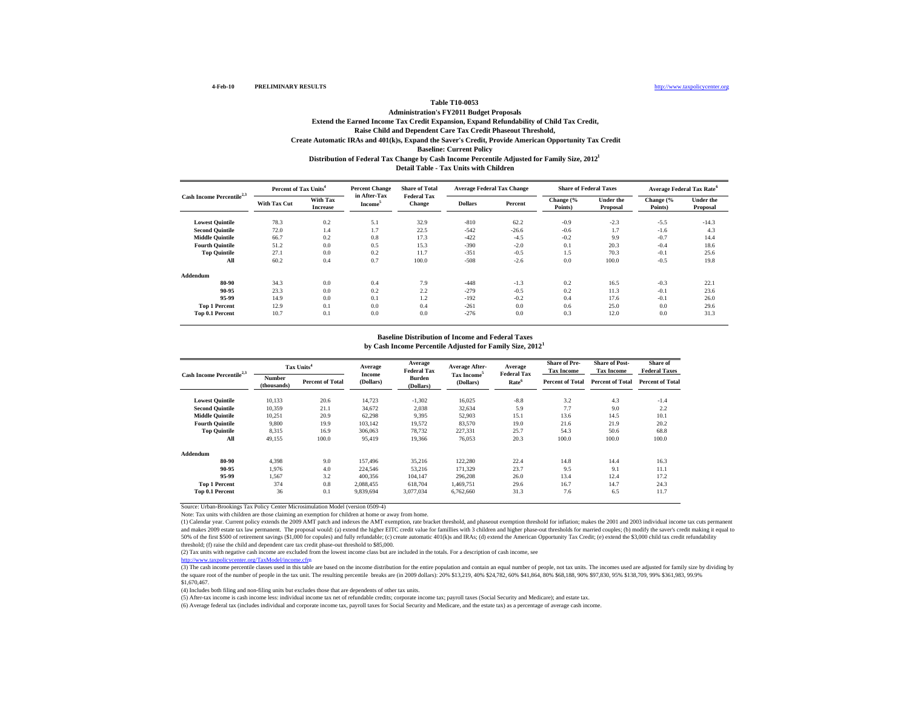### **Table T10-0053 Administration's FY2011 Budget Proposals Extend the Earned Income Tax Credit Expansion, Expand Refundability of Child Tax Credit, Distribution of Federal Tax Change by Cash Income Percentile Adjusted for Family Size, 2012 1 Detail Table - Tax Units with ChildrenRaise Child and Dependent Care Tax Credit Phaseout Threshold, Create Automatic IRAs and 401(k)s, Expand the Saver's Credit, Provide American Opportunity Tax Credit Baseline: Current Policy**

| Cash Income Percentile <sup>2,3</sup> | Percent of Tax Units <sup>4</sup> |                             | <b>Percent Change</b>               | <b>Share of Total</b>        | <b>Average Federal Tax Change</b> |         | <b>Share of Federal Taxes</b> |                              | Average Federal Tax Rate <sup>6</sup> |                              |
|---------------------------------------|-----------------------------------|-----------------------------|-------------------------------------|------------------------------|-----------------------------------|---------|-------------------------------|------------------------------|---------------------------------------|------------------------------|
|                                       | With Tax Cut                      | With Tax<br><b>Increase</b> | in After-Tax<br>Income <sup>3</sup> | <b>Federal Tax</b><br>Change | <b>Dollars</b>                    | Percent | Change (%<br>Points)          | <b>Under the</b><br>Proposal | Change (%<br>Points)                  | <b>Under the</b><br>Proposal |
| <b>Lowest Quintile</b>                | 78.3                              | 0.2                         | 5.1                                 | 32.9                         | $-810$                            | 62.2    | $-0.9$                        | $-2.3$                       | $-5.5$                                | $-14.3$                      |
| <b>Second Quintile</b>                | 72.0                              | 1.4                         | 1.7                                 | 22.5                         | $-542$                            | $-26.6$ | $-0.6$                        | 1.7                          | $-1.6$                                | 4.3                          |
| <b>Middle Quintile</b>                | 66.7                              | 0.2                         | 0.8                                 | 17.3                         | $-422$                            | $-4.5$  | $-0.2$                        | 9.9                          | $-0.7$                                | 14.4                         |
| <b>Fourth Quintile</b>                | 51.2                              | 0.0                         | 0.5                                 | 15.3                         | $-390$                            | $-2.0$  | 0.1                           | 20.3                         | $-0.4$                                | 18.6                         |
| <b>Top Quintile</b>                   | 27.1                              | 0.0                         | 0.2                                 | 11.7                         | $-351$                            | $-0.5$  | 1.5                           | 70.3                         | $-0.1$                                | 25.6                         |
| All                                   | 60.2                              | 0.4                         | 0.7                                 | 100.0                        | $-508$                            | $-2.6$  | 0.0                           | 100.0                        | $-0.5$                                | 19.8                         |
| Addendum                              |                                   |                             |                                     |                              |                                   |         |                               |                              |                                       |                              |
| 80-90                                 | 34.3                              | 0.0                         | 0.4                                 | 7.9                          | $-448$                            | $-1.3$  | 0.2                           | 16.5                         | $-0.3$                                | 22.1                         |
| 90-95                                 | 23.3                              | 0.0                         | 0.2                                 | 2.2                          | $-279$                            | $-0.5$  | 0.2                           | 11.3                         | $-0.1$                                | 23.6                         |
| 95-99                                 | 14.9                              | 0.0                         | 0.1                                 | 1.2                          | $-192$                            | $-0.2$  | 0.4                           | 17.6                         | $-0.1$                                | 26.0                         |
| <b>Top 1 Percent</b>                  | 12.9                              | 0.1                         | 0.0                                 | 0.4                          | $-261$                            | 0.0     | 0.6                           | 25.0                         | 0.0                                   | 29.6                         |
| Top 0.1 Percent                       | 10.7                              | 0.1                         | 0.0                                 | 0.0                          | $-276$                            | 0.0     | 0.3                           | 12.0                         | 0.0                                   | 31.3                         |

#### **by Cash Income Percentile Adjusted for Family Size, 2012 1 Baseline Distribution of Income and Federal Taxes**

| Cash Income Percentile <sup>2,3</sup> | Tax Units <sup>4</sup>       |                         | Average             | Average<br><b>Federal Tax</b> | <b>Average After-</b>   | Average<br><b>Federal Tax</b> | <b>Share of Pre-</b><br><b>Tax Income</b> | <b>Share of Post-</b><br><b>Tax Income</b> | Share of<br><b>Federal Taxes</b> |
|---------------------------------------|------------------------------|-------------------------|---------------------|-------------------------------|-------------------------|-------------------------------|-------------------------------------------|--------------------------------------------|----------------------------------|
|                                       | <b>Number</b><br>(thousands) | <b>Percent of Total</b> | Income<br>(Dollars) | <b>Burden</b><br>(Dollars)    | Tax Income<br>(Dollars) | Rate <sup>6</sup>             | <b>Percent of Total</b>                   | <b>Percent of Total</b>                    | <b>Percent of Total</b>          |
| <b>Lowest Quintile</b>                | 10,133                       | 20.6                    | 14,723              | $-1,302$                      | 16,025                  | $-8.8$                        | 3.2                                       | 4.3                                        | $-1.4$                           |
| <b>Second Quintile</b>                | 10.359                       | 21.1                    | 34,672              | 2,038                         | 32,634                  | 5.9                           | 7.7                                       | 9.0                                        | 2.2                              |
| <b>Middle Quintile</b>                | 10.251                       | 20.9                    | 62,298              | 9,395                         | 52,903                  | 15.1                          | 13.6                                      | 14.5                                       | 10.1                             |
| <b>Fourth Quintile</b>                | 9.800                        | 19.9                    | 103.142             | 19,572                        | 83,570                  | 19.0                          | 21.6                                      | 21.9                                       | 20.2                             |
| <b>Top Quintile</b>                   | 8,315                        | 16.9                    | 306,063             | 78.732                        | 227,331                 | 25.7                          | 54.3                                      | 50.6                                       | 68.8                             |
| All                                   | 49.155                       | 100.0                   | 95.419              | 19.366                        | 76.053                  | 20.3                          | 100.0                                     | 100.0                                      | 100.0                            |
| Addendum                              |                              |                         |                     |                               |                         |                               |                                           |                                            |                                  |
| 80-90                                 | 4.398                        | 9.0                     | 157.496             | 35,216                        | 122,280                 | 22.4                          | 14.8                                      | 14.4                                       | 16.3                             |
| 90-95                                 | 1.976                        | 4.0                     | 224,546             | 53,216                        | 171,329                 | 23.7                          | 9.5                                       | 9.1                                        | 11.1                             |
| 95-99                                 | 1.567                        | 3.2                     | 400.356             | 104.147                       | 296.208                 | 26.0                          | 13.4                                      | 12.4                                       | 17.2                             |
| <b>Top 1 Percent</b>                  | 374                          | 0.8                     | 2.088.455           | 618.704                       | 1.469.751               | 29.6                          | 16.7                                      | 14.7                                       | 24.3                             |
| Top 0.1 Percent                       | 36                           | 0.1                     | 9.839.694           | 3.077.034                     | 6,762,660               | 31.3                          | 7.6                                       | 6.5                                        | 11.7                             |

Source: Urban-Brookings Tax Policy Center Microsimulation Model (version 0509-4)

Note: Tax units with children are those claiming an exemption for children at home or away from home.

(1) Calendar year. Current policy extends the 2009 AMT patch and indexes the AMT exemption, rate bracket threshold, and phaseout exemption threshold for inflation; makes the 2001 and 2003 individual income tax cuts permane and makes 2009 estate tax law permanent. The proposal would: (a) extend the higher EITC credit value for famillies with 3 children and higher phase-out thresholds for married couples; (b) modify the saver's credit making i 50% of the first \$500 of retirement savings (\$1,000 for copules) and fully refundable; (c) create automatic 401(k)s and IRAs; (d) extend the American Opportunity Tax Credit; (e) extend the \$3,000 child tax credit refundabi threshold; (f) raise the child and dependent care tax credit phase-out threshold to \$85,000.

(2) Tax units with negative cash income are excluded from the lowest income class but are included in the totals. For a description of cash income, see

http://www.taxpolicycenter.org/TaxModel/income.cfm

(3) The cash income percentile classes used in this table are based on the income distribution for the entire population and contain an equal number of people, not tax units. The incomes used are adjusted for family size b \$1,670,467.

(4) Includes both filing and non-filing units but excludes those that are dependents of other tax units.

(5) After-tax income is cash income less: individual income tax net of refundable credits; corporate income tax; payroll taxes (Social Security and Medicare); and estate tax.